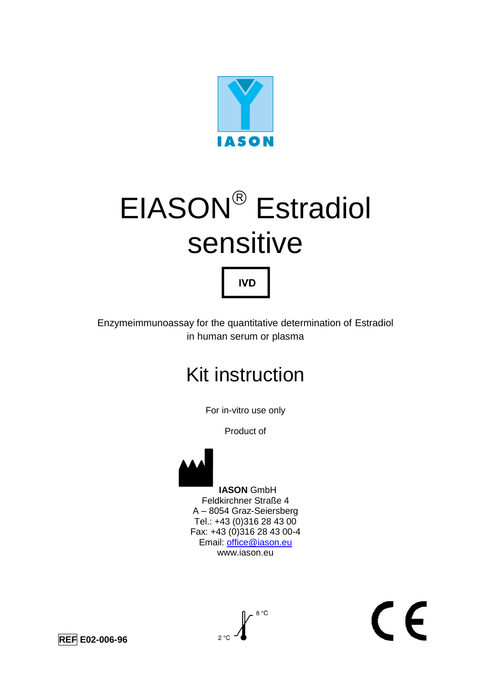

# EIASON<sup>®</sup> Estradiol sensitive

Enzymeimmunoassay for the quantitative determination of Estradiol in human serum or plasma

**IVD** 

# Kit instruction

For in-vitro use only

Product of



 **IASON** GmbH Feldkirchner Straße 4 A – 8054 Graz-Seiersberg Tel.: +43 (0)316 28 43 00 Fax: +43 (0)316 28 43 00-4 Email: [office@iason.eu](mailto:office@iason.eu) www.iason.eu

# $\epsilon$

**REF E02-006-96** 

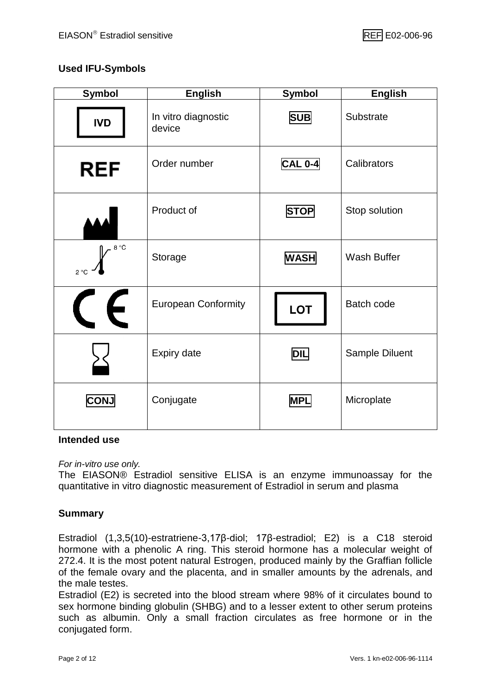#### **Used IFU-Symbols**

| <b>Symbol</b>            | <b>English</b>                | <b>Symbol</b>  |                   |
|--------------------------|-------------------------------|----------------|-------------------|
| <b>IVD</b>               | In vitro diagnostic<br>device | <b>SUB</b>     | Substrate         |
| <b>REF</b>               | Order number                  | <b>CAL 0-4</b> | Calibrators       |
|                          | Product of                    | <b>STOP</b>    | Stop solution     |
| 8 °C<br>$2^{\circ}C$     | Storage                       | <b>WASH</b>    | Wash Buffer       |
| $\epsilon$<br>$\sqrt{1}$ | <b>European Conformity</b>    | <b>LOT</b>     | <b>Batch code</b> |
|                          | <b>Expiry date</b>            | <b>DIL</b>     | Sample Diluent    |
| <b>CONJ</b>              | Conjugate                     | <b>MPL</b>     | Microplate        |

#### **Intended use**

*For in-vitro use only.*

The EIASON® Estradiol sensitive ELISA is an enzyme immunoassay for the quantitative in vitro diagnostic measurement of Estradiol in serum and plasma

#### **Summary**

Estradiol (1,3,5(10)-estratriene-3,17β-diol; 17β-estradiol; E2) is a C18 steroid hormone with a phenolic A ring. This steroid hormone has a molecular weight of 272.4. It is the most potent natural Estrogen, produced mainly by the Graffian follicle of the female ovary and the placenta, and in smaller amounts by the adrenals, and the male testes.

Estradiol (E2) is secreted into the blood stream where 98% of it circulates bound to sex hormone binding globulin (SHBG) and to a lesser extent to other serum proteins such as albumin. Only a small fraction circulates as free hormone or in the conjugated form.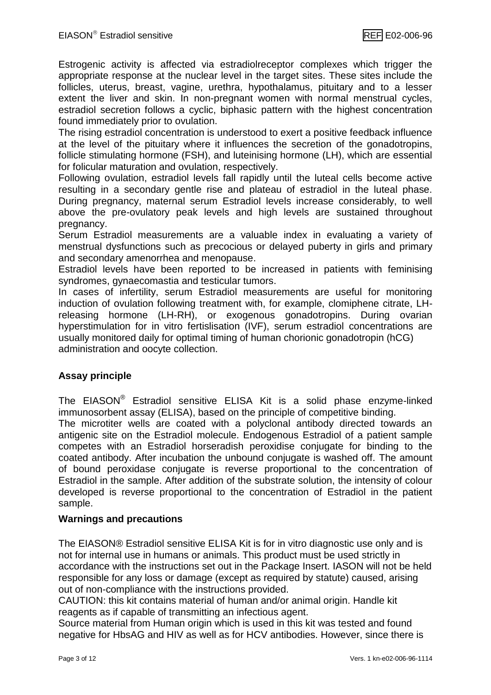Estrogenic activity is affected via estradiolreceptor complexes which trigger the appropriate response at the nuclear level in the target sites. These sites include the follicles, uterus, breast, vagine, urethra, hypothalamus, pituitary and to a lesser extent the liver and skin. In non-pregnant women with normal menstrual cycles, estradiol secretion follows a cyclic, biphasic pattern with the highest concentration found immediately prior to ovulation.

The rising estradiol concentration is understood to exert a positive feedback influence at the level of the pituitary where it influences the secretion of the gonadotropins, follicle stimulating hormone (FSH), and luteinising hormone (LH), which are essential for folicular maturation and ovulation, respectively.

Following ovulation, estradiol levels fall rapidly until the luteal cells become active resulting in a secondary gentle rise and plateau of estradiol in the luteal phase. During pregnancy, maternal serum Estradiol levels increase considerably, to well above the pre-ovulatory peak levels and high levels are sustained throughout pregnancy.

Serum Estradiol measurements are a valuable index in evaluating a variety of menstrual dysfunctions such as precocious or delayed puberty in girls and primary and secondary amenorrhea and menopause.

Estradiol levels have been reported to be increased in patients with feminising syndromes, gynaecomastia and testicular tumors.

In cases of infertility, serum Estradiol measurements are useful for monitoring induction of ovulation following treatment with, for example, clomiphene citrate, LHreleasing hormone (LH-RH), or exogenous gonadotropins. During ovarian hyperstimulation for in vitro fertislisation (IVF), serum estradiol concentrations are usually monitored daily for optimal timing of human chorionic gonadotropin (hCG) administration and oocyte collection.

#### **Assay principle**

The EIASON® Estradiol sensitive ELISA Kit is a solid phase enzyme-linked immunosorbent assay (ELISA), based on the principle of competitive binding.

The microtiter wells are coated with a polyclonal antibody directed towards an antigenic site on the Estradiol molecule. Endogenous Estradiol of a patient sample competes with an Estradiol horseradish peroxidise conjugate for binding to the coated antibody. After incubation the unbound conjugate is washed off. The amount of bound peroxidase conjugate is reverse proportional to the concentration of Estradiol in the sample. After addition of the substrate solution, the intensity of colour developed is reverse proportional to the concentration of Estradiol in the patient sample.

#### **Warnings and precautions**

The EIASON® Estradiol sensitive ELISA Kit is for in vitro diagnostic use only and is not for internal use in humans or animals. This product must be used strictly in accordance with the instructions set out in the Package Insert. IASON will not be held responsible for any loss or damage (except as required by statute) caused, arising out of non-compliance with the instructions provided.

CAUTION: this kit contains material of human and/or animal origin. Handle kit reagents as if capable of transmitting an infectious agent.

Source material from Human origin which is used in this kit was tested and found negative for HbsAG and HIV as well as for HCV antibodies. However, since there is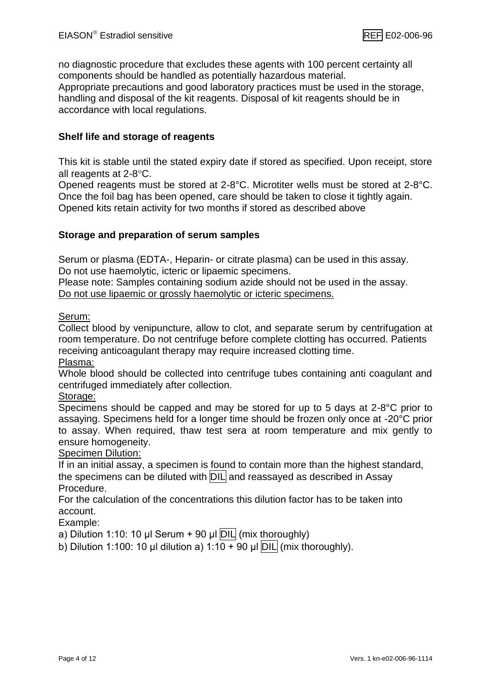no diagnostic procedure that excludes these agents with 100 percent certainty all components should be handled as potentially hazardous material.

Appropriate precautions and good laboratory practices must be used in the storage, handling and disposal of the kit reagents. Disposal of kit reagents should be in accordance with local regulations.

#### **Shelf life and storage of reagents**

This kit is stable until the stated expiry date if stored as specified. Upon receipt, store all reagents at  $2-8$ °C.

Opened reagents must be stored at 2-8°C. Microtiter wells must be stored at 2-8°C. Once the foil bag has been opened, care should be taken to close it tightly again. Opened kits retain activity for two months if stored as described above

#### **Storage and preparation of serum samples**

Serum or plasma (EDTA-, Heparin- or citrate plasma) can be used in this assay. Do not use haemolytic, icteric or lipaemic specimens.

Please note: Samples containing sodium azide should not be used in the assay. Do not use lipaemic or grossly haemolytic or icteric specimens.

#### Serum:

Collect blood by venipuncture, allow to clot, and separate serum by centrifugation at room temperature. Do not centrifuge before complete clotting has occurred. Patients receiving anticoagulant therapy may require increased clotting time.

Plasma:

Whole blood should be collected into centrifuge tubes containing anti coagulant and centrifuged immediately after collection.

#### Storage:

Specimens should be capped and may be stored for up to 5 days at 2-8°C prior to assaying. Specimens held for a longer time should be frozen only once at -20°C prior to assay. When required, thaw test sera at room temperature and mix gently to ensure homogeneity.

#### Specimen Dilution:

If in an initial assay, a specimen is found to contain more than the highest standard, the specimens can be diluted with **DIL** and reassayed as described in Assay Procedure.

For the calculation of the concentrations this dilution factor has to be taken into account.

Example:

a) Dilution 1:10: 10 μl Serum + 90 μl  $DIL$  (mix thoroughly)

b) Dilution 1:100: 10 μl dilution a) 1:10 + 90 μl  $\overline{DIL}$  (mix thoroughly).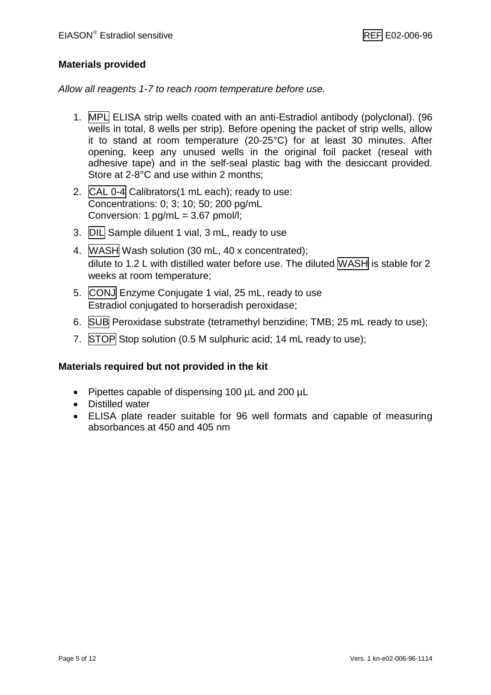#### **Materials provided**

*Allow all reagents 1-7 to reach room temperature before use.*

- 1. MPL ELISA strip wells coated with an anti-Estradiol antibody (polyclonal). (96 wells in total, 8 wells per strip). Before opening the packet of strip wells, allow it to stand at room temperature (20-25°C) for at least 30 minutes. After opening, keep any unused wells in the original foil packet (reseal with adhesive tape) and in the self-seal plastic bag with the desiccant provided. Store at 2-8°C and use within 2 months;
- 2. CAL 0-4 Calibrators(1 mL each); ready to use: Concentrations: 0; 3; 10; 50; 200 pg/mL Conversion: 1 pg/mL = 3.67 pmol/l;
- 3. DIL Sample diluent 1 vial, 3 mL, ready to use
- 4. WASH Wash solution (30 mL, 40 x concentrated); dilute to 1.2 L with distilled water before use. The diluted WASH is stable for 2 weeks at room temperature;
- 5. CONJ Enzyme Conjugate 1 vial, 25 mL, ready to use Estradiol conjugated to horseradish peroxidase;
- 6. SUB Peroxidase substrate (tetramethyl benzidine; TMB; 25 mL ready to use);
- 7. STOP Stop solution (0.5 M sulphuric acid; 14 mL ready to use);

#### **Materials required but not provided in the kit**

- Pipettes capable of dispensing 100 µL and 200 µL
- Distilled water
- ELISA plate reader suitable for 96 well formats and capable of measuring absorbances at 450 and 405 nm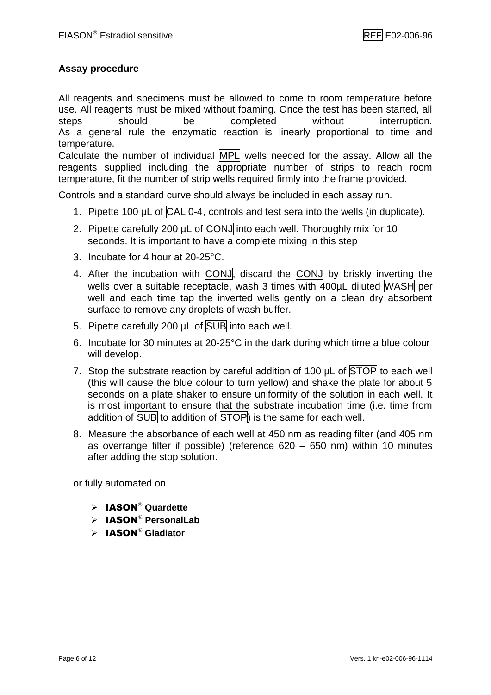#### **Assay procedure**

All reagents and specimens must be allowed to come to room temperature before use. All reagents must be mixed without foaming. Once the test has been started, all steps should be completed without interruption. As a general rule the enzymatic reaction is linearly proportional to time and temperature. Calculate the number of individual MPL wells needed for the assay. Allow all the reagents supplied including the appropriate number of strips to reach room temperature, fit the number of strip wells required firmly into the frame provided.

Controls and a standard curve should always be included in each assay run.

- 1. Pipette 100  $\mu$ L of CAL 0-4, controls and test sera into the wells (in duplicate).
- 2. Pipette carefully 200 µL of CONJ into each well. Thoroughly mix for 10 seconds. It is important to have a complete mixing in this step
- 3. Incubate for 4 hour at 20-25°C.
- 4. After the incubation with CONJ, discard the CONJ by briskly inverting the wells over a suitable receptacle, wash 3 times with 400uL diluted WASH per well and each time tap the inverted wells gently on a clean dry absorbent surface to remove any droplets of wash buffer.
- 5. Pipette carefully 200 µL of SUB into each well.
- 6. Incubate for 30 minutes at 20-25°C in the dark during which time a blue colour will develop.
- 7. Stop the substrate reaction by careful addition of 100  $\mu$ L of STOP to each well (this will cause the blue colour to turn yellow) and shake the plate for about 5 seconds on a plate shaker to ensure uniformity of the solution in each well. It is most important to ensure that the substrate incubation time (i.e. time from addition of SUB to addition of STOP) is the same for each well.
- 8. Measure the absorbance of each well at 450 nm as reading filter (and 405 nm as overrange filter if possible) (reference 620 – 650 nm) within 10 minutes after adding the stop solution.

or fully automated on

- > IASON<sup>®</sup> Quardette
- > IASON<sup>®</sup> PersonalLab
- > **IASON<sup>®</sup> Gladiator**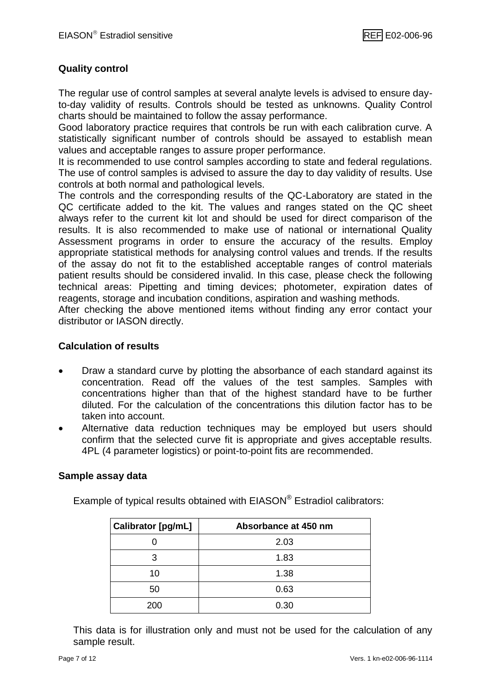#### **Quality control**

The regular use of control samples at several analyte levels is advised to ensure dayto-day validity of results. Controls should be tested as unknowns. Quality Control charts should be maintained to follow the assay performance.

Good laboratory practice requires that controls be run with each calibration curve. A statistically significant number of controls should be assayed to establish mean values and acceptable ranges to assure proper performance.

It is recommended to use control samples according to state and federal regulations. The use of control samples is advised to assure the day to day validity of results. Use controls at both normal and pathological levels.

The controls and the corresponding results of the QC-Laboratory are stated in the QC certificate added to the kit. The values and ranges stated on the QC sheet always refer to the current kit lot and should be used for direct comparison of the results. It is also recommended to make use of national or international Quality Assessment programs in order to ensure the accuracy of the results. Employ appropriate statistical methods for analysing control values and trends. If the results of the assay do not fit to the established acceptable ranges of control materials patient results should be considered invalid. In this case, please check the following technical areas: Pipetting and timing devices; photometer, expiration dates of reagents, storage and incubation conditions, aspiration and washing methods.

After checking the above mentioned items without finding any error contact your distributor or IASON directly.

#### **Calculation of results**

- Draw a standard curve by plotting the absorbance of each standard against its concentration. Read off the values of the test samples. Samples with concentrations higher than that of the highest standard have to be further diluted. For the calculation of the concentrations this dilution factor has to be taken into account.
- Alternative data reduction techniques may be employed but users should confirm that the selected curve fit is appropriate and gives acceptable results. 4PL (4 parameter logistics) or point-to-point fits are recommended.

#### **Sample assay data**

| Calibrator [pg/mL] | Absorbance at 450 nm |
|--------------------|----------------------|
|                    | 2.03                 |
| 3                  | 1.83                 |
| 10                 | 1.38                 |
| 50                 | 0.63                 |
| 200                | 0.30                 |

Example of typical results obtained with EIASON® Estradiol calibrators:

This data is for illustration only and must not be used for the calculation of any sample result.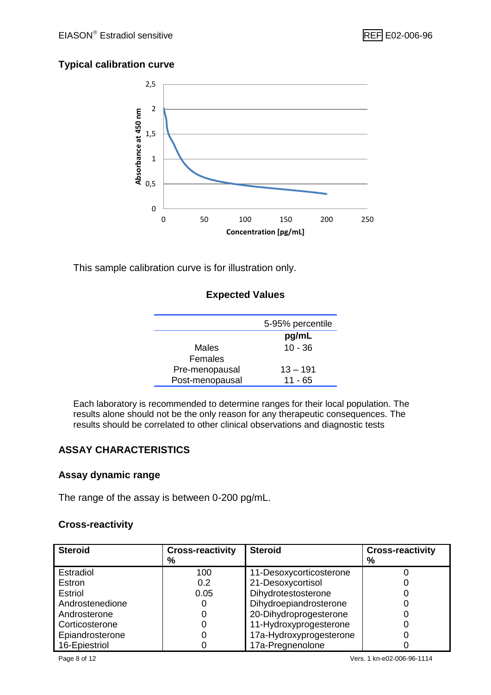#### **Typical calibration curve**



This sample calibration curve is for illustration only.

#### **Expected Values**

|                 | 5-95% percentile |
|-----------------|------------------|
|                 | pg/mL            |
| Males           | $10 - 36$        |
| Females         |                  |
| Pre-menopausal  | $13 - 191$       |
| Post-menopausal | $11 - 65$        |
|                 |                  |

Each laboratory is recommended to determine ranges for their local population. The results alone should not be the only reason for any therapeutic consequences. The results should be correlated to other clinical observations and diagnostic tests

#### **ASSAY CHARACTERISTICS**

#### **Assay dynamic range**

The range of the assay is between 0-200 pg/mL.

#### **Cross-reactivity**

| <b>Steroid</b>  | <b>Cross-reactivity</b> | <b>Steroid</b>          | <b>Cross-reactivity</b> |
|-----------------|-------------------------|-------------------------|-------------------------|
|                 | %                       |                         | %                       |
| Estradiol       | 100                     | 11-Desoxycorticosterone |                         |
| Estron          | 0.2                     | 21-Desoxycortisol       |                         |
| <b>Estriol</b>  | 0.05                    | Dihydrotestosterone     |                         |
| Androstenedione |                         | Dihydroepiandrosterone  |                         |
| Androsterone    |                         | 20-Dihydroprogesterone  |                         |
| Corticosterone  |                         | 11-Hydroxyprogesterone  |                         |
| Epiandrosterone |                         | 17a-Hydroxyprogesterone |                         |
| 16-Epiestriol   |                         | 17a-Pregnenolone        |                         |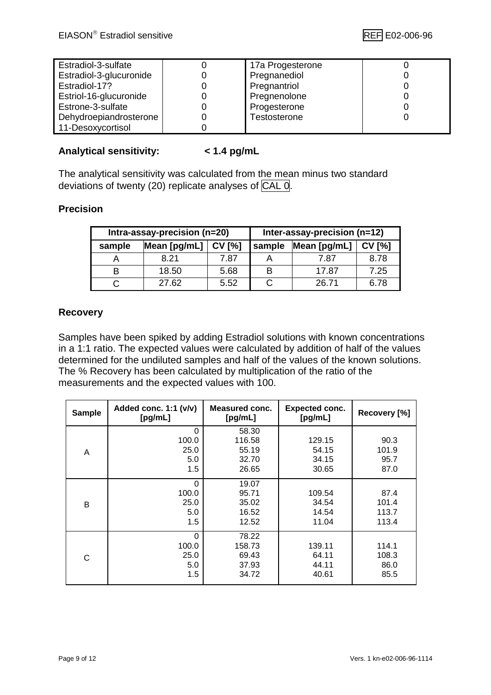| Estradiol-3-sulfate     | 17a Progesterone |  |
|-------------------------|------------------|--|
| Estradiol-3-glucuronide | Pregnanediol     |  |
| Estradiol-17?           | Pregnantriol     |  |
| Estriol-16-glucuronide  | Pregnenolone     |  |
| Estrone-3-sulfate       | Progesterone     |  |
| Dehydroepiandrosterone  | Testosterone     |  |
| 11-Desoxycortisol       |                  |  |

#### **Analytical sensitivity: < 1.4 pg/mL**

The analytical sensitivity was calculated from the mean minus two standard deviations of twenty (20) replicate analyses of CAL 0.

#### **Precision**

| Intra-assay-precision (n=20) |              |               | Inter-assay-precision (n=12) |              |               |
|------------------------------|--------------|---------------|------------------------------|--------------|---------------|
| sample                       | Mean [pg/mL] | <b>CV [%]</b> | sample                       | Mean [pg/mL] | <b>CV [%]</b> |
|                              | 8.21         | 7.87          |                              | 7.87         | 8.78          |
| в                            | 18.50        | 5.68          |                              | 17.87        | 7.25          |
|                              | 27.62        | 5.52          |                              | 26.71        | 6.78          |

#### **Recovery**

Samples have been spiked by adding Estradiol solutions with known concentrations in a 1:1 ratio. The expected values were calculated by addition of half of the values determined for the undiluted samples and half of the values of the known solutions. The % Recovery has been calculated by multiplication of the ratio of the measurements and the expected values with 100.

| <b>Sample</b> | Added conc. 1:1 (v/v)<br>[pg/mL] | <b>Measured conc.</b><br>[pg/mL] | <b>Expected conc.</b><br>[pg/mL] | Recovery [%] |
|---------------|----------------------------------|----------------------------------|----------------------------------|--------------|
|               | 0                                | 58.30                            |                                  |              |
|               | 100.0                            | 116.58                           | 129.15                           | 90.3         |
| A             | 25.0                             | 55.19                            | 54.15                            | 101.9        |
|               | 5.0                              | 32.70                            | 34.15                            | 95.7         |
|               | 1.5                              | 26.65                            | 30.65                            | 87.0         |
|               | 0                                | 19.07                            |                                  |              |
|               | 100.0                            | 95.71                            | 109.54                           | 87.4         |
| B             | 25.0                             | 35.02                            | 34.54                            | 101.4        |
|               | 5.0                              | 16.52                            | 14.54                            | 113.7        |
|               | 1.5                              | 12.52                            | 11.04                            | 113.4        |
|               | $\Omega$                         | 78.22                            |                                  |              |
|               | 100.0                            | 158.73                           | 139.11                           | 114.1        |
| C             | 25.0                             | 69.43                            | 64.11                            | 108.3        |
|               | 5.0                              | 37.93                            | 44.11                            | 86.0         |
|               | 1.5                              | 34.72                            | 40.61                            | 85.5         |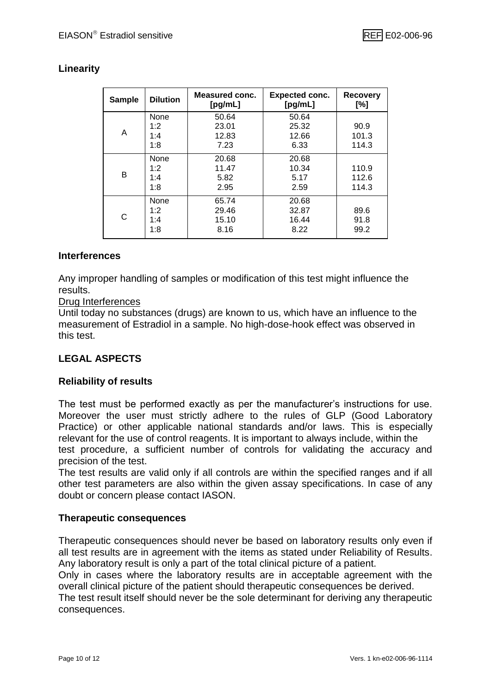#### **Linearity**

| <b>Dilution</b><br><b>Sample</b> |      | <b>Measured conc.</b><br>[pg/mL] | <b>Expected conc.</b><br>[pg/mL] | <b>Recovery</b><br>[%] |
|----------------------------------|------|----------------------------------|----------------------------------|------------------------|
|                                  | None | 50.64                            | 50.64                            |                        |
|                                  | 1:2  | 23.01                            | 25.32                            | 90.9                   |
| A                                | 1:4  | 12.83                            | 12.66                            | 101.3                  |
|                                  | 1:8  | 7.23                             | 6.33                             | 114.3                  |
|                                  | None | 20.68                            | 20.68                            |                        |
|                                  | 1:2  | 11.47                            | 10.34                            | 110.9                  |
| B                                | 1:4  | 5.82                             | 5.17                             | 112.6                  |
|                                  | 1:8  | 2.95                             | 2.59                             | 114.3                  |
|                                  | None | 65.74                            | 20.68                            |                        |
|                                  | 1:2  | 29.46                            | 32.87                            | 89.6                   |
| С                                | 1:4  | 15.10                            | 16.44                            | 91.8                   |
|                                  | 1:8  | 8.16                             | 8.22                             | 99.2                   |

#### **Interferences**

Any improper handling of samples or modification of this test might influence the results.

#### Drug Interferences

Until today no substances (drugs) are known to us, which have an influence to the measurement of Estradiol in a sample. No high-dose-hook effect was observed in this test.

#### **LEGAL ASPECTS**

#### **Reliability of results**

The test must be performed exactly as per the manufacturer's instructions for use. Moreover the user must strictly adhere to the rules of GLP (Good Laboratory Practice) or other applicable national standards and/or laws. This is especially relevant for the use of control reagents. It is important to always include, within the test procedure, a sufficient number of controls for validating the accuracy and precision of the test.

The test results are valid only if all controls are within the specified ranges and if all other test parameters are also within the given assay specifications. In case of any doubt or concern please contact IASON.

#### **Therapeutic consequences**

Therapeutic consequences should never be based on laboratory results only even if all test results are in agreement with the items as stated under Reliability of Results. Any laboratory result is only a part of the total clinical picture of a patient.

Only in cases where the laboratory results are in acceptable agreement with the overall clinical picture of the patient should therapeutic consequences be derived.

The test result itself should never be the sole determinant for deriving any therapeutic consequences.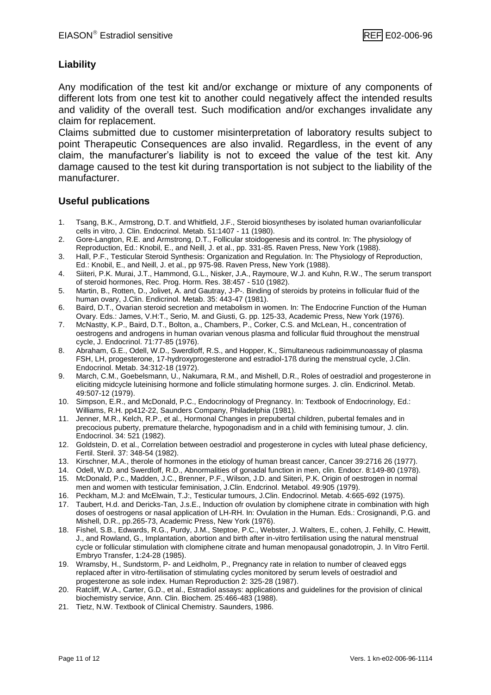#### **Liability**

Any modification of the test kit and/or exchange or mixture of any components of different lots from one test kit to another could negatively affect the intended results and validity of the overall test. Such modification and/or exchanges invalidate any claim for replacement.

Claims submitted due to customer misinterpretation of laboratory results subject to point Therapeutic Consequences are also invalid. Regardless, in the event of any claim, the manufacturer's liability is not to exceed the value of the test kit. Any damage caused to the test kit during transportation is not subject to the liability of the manufacturer.

#### **Useful publications**

- 1. Tsang, B.K., Armstrong, D.T. and Whitfield, J.F., Steroid biosyntheses by isolated human ovarianfollicular cells in vitro, J. Clin. Endocrinol. Metab. 51:1407 - 11 (1980).
- 2. Gore-Langton, R.E. and Armstrong, D.T., Follicular stoidogenesis and its control. In: The physiology of Reproduction, Ed.: Knobil, E., and Neill, J. et al., pp. 331-85. Raven Press, New York (1988).
- 3. Hall, P.F., Testicular Steroid Synthesis: Organization and Regulation. In: The Physiology of Reproduction, Ed.: Knobil, E., and Neill, J. et al., pp 975-98. Raven Press, New York (1988).
- 4. Siiteri, P.K. Murai, J.T., Hammond, G.L., Nisker, J.A., Raymoure, W.J. and Kuhn, R.W., The serum transport of steroid hormones, Rec. Prog. Horm. Res. 38:457 - 510 (1982).
- 5. Martin, B., Rotten, D., Jolivet, A. and Gautray, J-P-. Binding of steroids by proteins in follicular fluid of the human ovary, J.Clin. Endicrinol. Metab. 35: 443-47 (1981).
- 6. Baird, D.T., Ovarian steroid secretion and metabolism in women. In: The Endocrine Function of the Human Ovary. Eds.: James, V.H:T., Serio, M. and Giusti, G. pp. 125-33, Academic Press, New York (1976).
- 7. McNastty, K.P., Baird, D.T., Bolton, a., Chambers, P., Corker, C.S. and McLean, H., concentration of oestrogens and androgens in human ovarian venous plasma and follicular fluid throughout the menstrual cycle, J. Endocrinol. 71:77-85 (1976).
- 8. Abraham, G.E., Odell, W.D., Swerdloff, R.S., and Hopper, K., Simultaneous radioimmunoassay of plasma FSH, LH, progesterone, 17-hydroxyprogesterone and estradiol-17ß during the menstrual cycle, J.Clin. Endocrinol. Metab. 34:312-18 (1972).
- 9. March, C.M., Goebelsmann, U., Nakumara, R.M., and Mishell, D.R., Roles of oestradiol and progesterone in eliciting midcycle luteinising hormone and follicle stimulating hormone surges. J. clin. Endicrinol. Metab. 49:507-12 (1979).
- 10. Simpson, E.R., and McDonald, P.C., Endocrinology of Pregnancy. In: Textbook of Endocrinology, Ed.: Williams, R.H. pp412-22, Saunders Company, Philadelphia (1981).
- 11. Jenner, M.R., Kelch, R.P., et al., Hormonal Changes in prepubertal children, pubertal females and in precocious puberty, premature thelarche, hypogonadism and in a child with feminising tumour, J. clin. Endocrinol. 34: 521 (1982).
- 12. Goldstein, D. et al., Correlation between oestradiol and progesterone in cycles with luteal phase deficiency, Fertil. Steril. 37: 348-54 (1982).
- 13. Kirschner, M.A., therole of hormones in the etiology of human breast cancer, Cancer 39:2716 26 (1977).
- 14. Odell, W.D. and Swerdloff, R.D., Abnormalities of gonadal function in men, clin. Endocr. 8:149-80 (1978). 15. McDonald, P.c., Madden, J.C., Brenner, P.F., Wilson, J.D. and Siiteri, P.K. Origin of oestrogen in normal
- men and women with testicular feminisation, J.Clin. Endcrinol. Metabol. 49:905 (1979). 16. Peckham, M.J: and McElwain, T.J:, Testicular tumours, J.Clin. Endocrinol. Metab. 4:665-692 (1975).
- 17. Taubert, H.d. and Dericks-Tan, J.s.E., Induction ofr ovulation by clomiphene citrate in combination with high doses of oestrogens or nasal application of LH-RH. In: Ovulation in the Human. Eds.: Crosignandi, P.G. and Mishell, D.R., pp.265-73, Academic Press, New York (1976).
- 18. Fishel, S.B., Edwards, R.G., Purdy, J.M., Steptoe, P.C., Webster, J. Walters, E., cohen, J. Fehilly, C. Hewitt, J., and Rowland, G., Implantation, abortion and birth after in-vitro fertilisation using the natural menstrual cycle or follicular stimulation with clomiphene citrate and human menopausal gonadotropin, J. In Vitro Fertil. Embryo Transfer, 1:24-28 (1985).
- 19. Wramsby, H., Sundstorm, P- and Leidholm, P., Pregnancy rate in relation to number of cleaved eggs replaced after in vitro-fertilisation of stimulating cycles monitored by serum levels of oestradiol and progesterone as sole index. Human Reproduction 2: 325-28 (1987).
- 20. Ratcliff, W.A., Carter, G.D., et al., Estradiol assays: applications and guidelines for the provision of clinical biochemistry service, Ann. Clin. Biochem. 25:466-483 (1988).
- 21. Tietz, N.W. Textbook of Clinical Chemistry. Saunders, 1986.